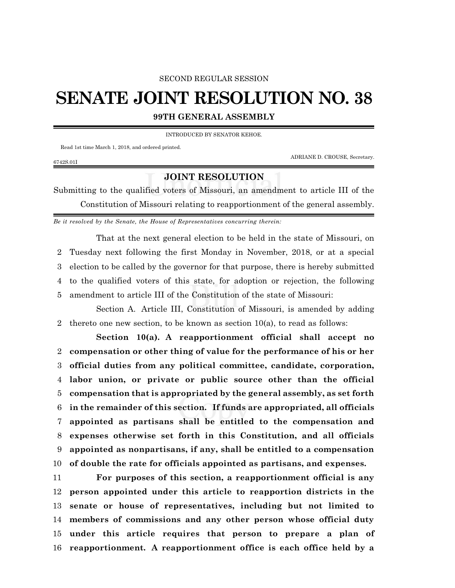## SECOND REGULAR SESSION

## **SENATE JOINT RESOLUTION NO. 38**

**99TH GENERAL ASSEMBLY**

INTRODUCED BY SENATOR KEHOE.

Read 1st time March 1, 2018, and ordered printed.

ADRIANE D. CROUSE, Secretary.

## 6742S.01I

## **JOINT RESOLUTION**

Submitting to the qualified voters of Missouri, an amendment to article III of the Constitution of Missouri relating to reapportionment of the general assembly.

*Be it resolved by the Senate, the House of Representatives concurring therein:*

That at the next general election to be held in the state of Missouri, on Tuesday next following the first Monday in November, 2018, or at a special election to be called by the governor for that purpose, there is hereby submitted to the qualified voters of this state, for adoption or rejection, the following amendment to article III of the Constitution of the state of Missouri:

Section A. Article III, Constitution of Missouri, is amended by adding 2 thereto one new section, to be known as section  $10(a)$ , to read as follows:

**Section 10(a). A reapportionment official shall accept no compensation or other thing of value for the performance of his or her official duties from any political committee, candidate, corporation, labor union, or private or public source other than the official compensation that is appropriated by the general assembly, as set forth in the remainder of this section. If funds are appropriated, all officials appointed as partisans shall be entitled to the compensation and expenses otherwise set forth in this Constitution, and all officials appointed as nonpartisans, if any, shall be entitled to a compensation of double the rate for officials appointed as partisans, and expenses.**

 **For purposes of this section, a reapportionment official is any person appointed under this article to reapportion districts in the senate or house of representatives, including but not limited to members of commissions and any other person whose official duty under this article requires that person to prepare a plan of reapportionment. A reapportionment office is each office held by a**